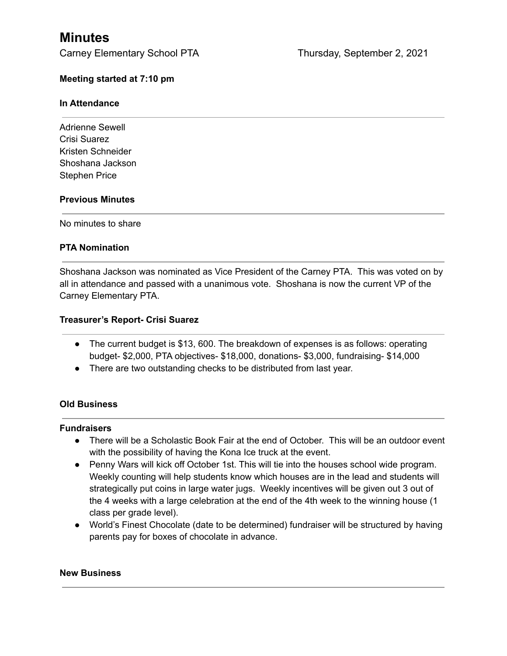# **Minutes**

# **Meeting started at 7:10 pm**

## **In Attendance**

Adrienne Sewell Crisi Suarez Kristen Schneider Shoshana Jackson Stephen Price

## **Previous Minutes**

No minutes to share

## **PTA Nomination**

Shoshana Jackson was nominated as Vice President of the Carney PTA. This was voted on by all in attendance and passed with a unanimous vote. Shoshana is now the current VP of the Carney Elementary PTA.

## **Treasurer's Report- Crisi Suarez**

- The current budget is \$13, 600. The breakdown of expenses is as follows: operating budget- \$2,000, PTA objectives- \$18,000, donations- \$3,000, fundraising- \$14,000
- There are two outstanding checks to be distributed from last year.

#### **Old Business**

#### **Fundraisers**

- **●** There will be a Scholastic Book Fair at the end of October. This will be an outdoor event with the possibility of having the Kona Ice truck at the event.
- Penny Wars will kick off October 1st. This will tie into the houses school wide program. Weekly counting will help students know which houses are in the lead and students will strategically put coins in large water jugs. Weekly incentives will be given out 3 out of the 4 weeks with a large celebration at the end of the 4th week to the winning house (1 class per grade level).
- World's Finest Chocolate (date to be determined) fundraiser will be structured by having parents pay for boxes of chocolate in advance.

#### **New Business**